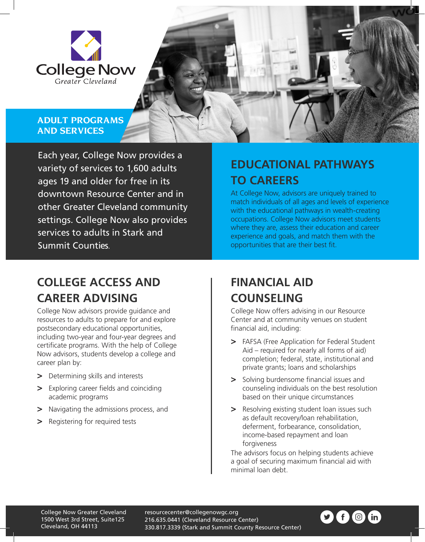

#### **ADULT PROGRAMS AND SERVICES**

Each year, College Now provides a variety of services to 1,600 adults ages 19 and older for free in its downtown Resource Center and in other Greater Cleveland community settings. College Now also provides services to adults in Stark and Summit Counties.

## **COLLEGE ACCESS AND CAREER ADVISING**

College Now advisors provide guidance and resources to adults to prepare for and explore postsecondary educational opportunities, including two-year and four-year degrees and certificate programs. With the help of College Now advisors, students develop a college and career plan by:

- **>** Determining skills and interests
- **>** Exploring career fields and coinciding academic programs
- **>** Navigating the admissions process, and
- **>** Registering for required tests

# **EDUCATIONAL PATHWAYS TO CAREERS**

At College Now, advisors are uniquely trained to match individuals of all ages and levels of experience with the educational pathways in wealth-creating occupations. College Now advisors meet students where they are, assess their education and career experience and goals, and match them with the opportunities that are their best fit.

## **FINANCIAL AID COUNSELING**

College Now offers advising in our Resource Center and at community venues on student financial aid, including:

- **>** FAFSA (Free Application for Federal Student Aid – required for nearly all forms of aid) completion; federal, state, institutional and private grants; loans and scholarships
- **>** Solving burdensome financial issues and counseling individuals on the best resolution based on their unique circumstances
- **>** Resolving existing student loan issues such as default recovery/loan rehabilitation, deferment, forbearance, consolidation, income-based repayment and loan forgiveness

The advisors focus on helping students achieve a goal of securing maximum financial aid with minimal loan debt.

resourcecenter@collegenowgc.org 216.635.0441 (Cleveland Resource Center) 330.817.3339 (Stark and Summit County Resource Center)